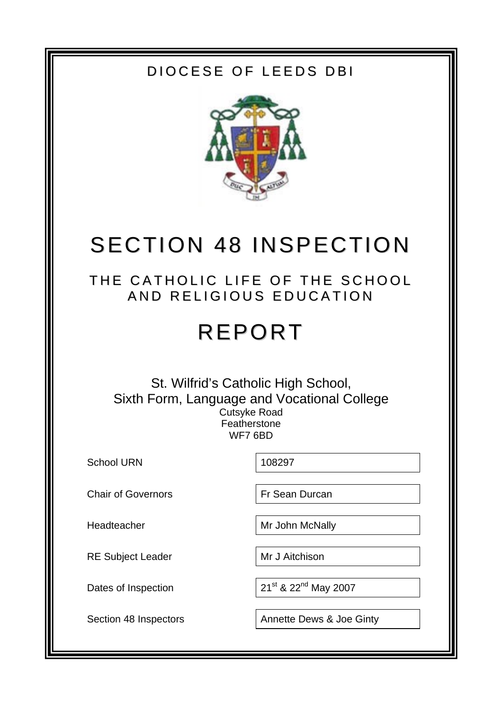## DIOCESE OF LEEDS DBI



# SECTION 48 INSPECTION

## THE CATHOLIC LIFE OF THE SCHOOL AND RELIGIOUS EDUCATION

# REPORT

### St. Wilfrid's Catholic High School, Sixth Form, Language and Vocational College Cutsyke Road **Featherstone** WF7 6BD

School URN 108297

Chair of Governors **Fr Sean Durcan** 

RE Subject Leader Mr J Aitchison

Headteacher Mr John McNally

Dates of Inspection  $21^{st}$  &  $22^{nd}$  May 2007

Section 48 Inspectors | Annette Dews & Joe Ginty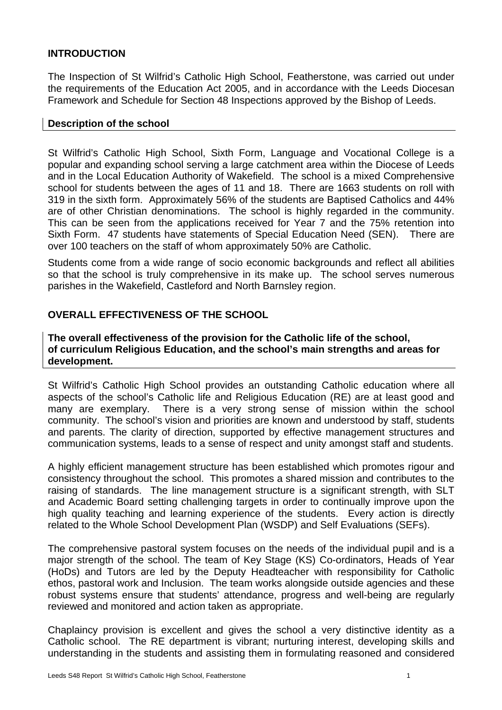#### **INTRODUCTION**

The Inspection of St Wilfrid's Catholic High School, Featherstone, was carried out under the requirements of the Education Act 2005, and in accordance with the Leeds Diocesan Framework and Schedule for Section 48 Inspections approved by the Bishop of Leeds.

#### **Description of the school**

St Wilfrid's Catholic High School, Sixth Form, Language and Vocational College is a popular and expanding school serving a large catchment area within the Diocese of Leeds and in the Local Education Authority of Wakefield. The school is a mixed Comprehensive school for students between the ages of 11 and 18. There are 1663 students on roll with 319 in the sixth form. Approximately 56% of the students are Baptised Catholics and 44% are of other Christian denominations. The school is highly regarded in the community. This can be seen from the applications received for Year 7 and the 75% retention into Sixth Form. 47 students have statements of Special Education Need (SEN). There are over 100 teachers on the staff of whom approximately 50% are Catholic.

Students come from a wide range of socio economic backgrounds and reflect all abilities so that the school is truly comprehensive in its make up. The school serves numerous parishes in the Wakefield, Castleford and North Barnsley region.

#### **OVERALL EFFECTIVENESS OF THE SCHOOL**

#### **The overall effectiveness of the provision for the Catholic life of the school, of curriculum Religious Education, and the school's main strengths and areas for development.**

St Wilfrid's Catholic High School provides an outstanding Catholic education where all aspects of the school's Catholic life and Religious Education (RE) are at least good and many are exemplary. There is a very strong sense of mission within the school community. The school's vision and priorities are known and understood by staff, students and parents. The clarity of direction, supported by effective management structures and communication systems, leads to a sense of respect and unity amongst staff and students.

A highly efficient management structure has been established which promotes rigour and consistency throughout the school. This promotes a shared mission and contributes to the raising of standards. The line management structure is a significant strength, with SLT and Academic Board setting challenging targets in order to continually improve upon the high quality teaching and learning experience of the students. Every action is directly related to the Whole School Development Plan (WSDP) and Self Evaluations (SEFs).

The comprehensive pastoral system focuses on the needs of the individual pupil and is a major strength of the school. The team of Key Stage (KS) Co-ordinators, Heads of Year (HoDs) and Tutors are led by the Deputy Headteacher with responsibility for Catholic ethos, pastoral work and Inclusion. The team works alongside outside agencies and these robust systems ensure that students' attendance, progress and well-being are regularly reviewed and monitored and action taken as appropriate.

Chaplaincy provision is excellent and gives the school a very distinctive identity as a Catholic school. The RE department is vibrant; nurturing interest, developing skills and understanding in the students and assisting them in formulating reasoned and considered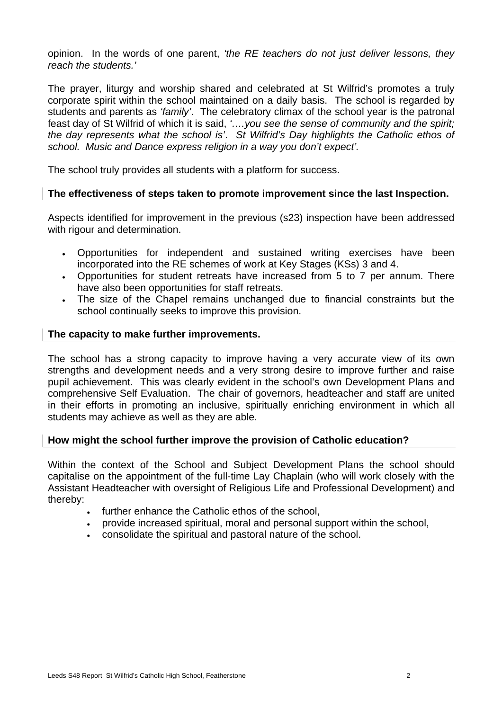opinion. In the words of one parent, *'the RE teachers do not just deliver lessons, they reach the students.'* 

The prayer, liturgy and worship shared and celebrated at St Wilfrid's promotes a truly corporate spirit within the school maintained on a daily basis. The school is regarded by students and parents as *'family'*. The celebratory climax of the school year is the patronal feast day of St Wilfrid of which it is said, *'….you see the sense of community and the spirit; the day represents what the school is'*. *St Wilfrid's Day highlights the Catholic ethos of school. Music and Dance express religion in a way you don't expect'.*

The school truly provides all students with a platform for success.

#### **The effectiveness of steps taken to promote improvement since the last Inspection.**

Aspects identified for improvement in the previous (s23) inspection have been addressed with rigour and determination.

- Opportunities for independent and sustained writing exercises have been incorporated into the RE schemes of work at Key Stages (KSs) 3 and 4.
- Opportunities for student retreats have increased from 5 to 7 per annum. There have also been opportunities for staff retreats.
- The size of the Chapel remains unchanged due to financial constraints but the school continually seeks to improve this provision.

#### **The capacity to make further improvements.**

The school has a strong capacity to improve having a very accurate view of its own strengths and development needs and a very strong desire to improve further and raise pupil achievement. This was clearly evident in the school's own Development Plans and comprehensive Self Evaluation. The chair of governors, headteacher and staff are united in their efforts in promoting an inclusive, spiritually enriching environment in which all students may achieve as well as they are able.

#### **How might the school further improve the provision of Catholic education?**

Within the context of the School and Subject Development Plans the school should capitalise on the appointment of the full-time Lay Chaplain (who will work closely with the Assistant Headteacher with oversight of Religious Life and Professional Development) and thereby:

- further enhance the Catholic ethos of the school,
- provide increased spiritual, moral and personal support within the school,
- consolidate the spiritual and pastoral nature of the school.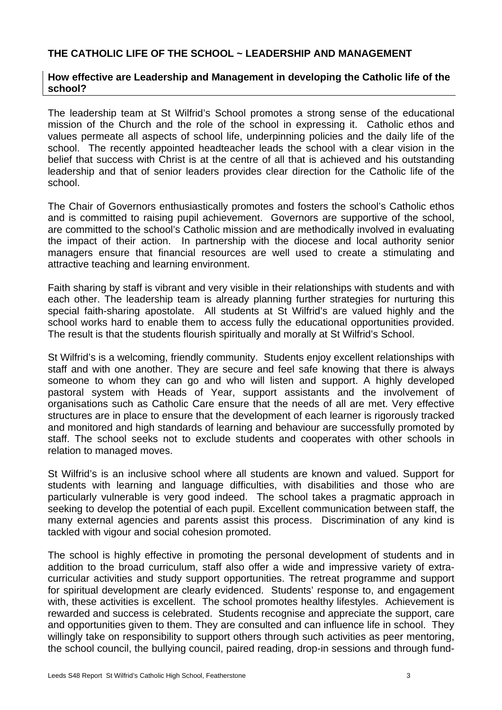#### **THE CATHOLIC LIFE OF THE SCHOOL ~ LEADERSHIP AND MANAGEMENT**

#### **How effective are Leadership and Management in developing the Catholic life of the school?**

The leadership team at St Wilfrid's School promotes a strong sense of the educational mission of the Church and the role of the school in expressing it. Catholic ethos and values permeate all aspects of school life, underpinning policies and the daily life of the school. The recently appointed headteacher leads the school with a clear vision in the belief that success with Christ is at the centre of all that is achieved and his outstanding leadership and that of senior leaders provides clear direction for the Catholic life of the school.

The Chair of Governors enthusiastically promotes and fosters the school's Catholic ethos and is committed to raising pupil achievement. Governors are supportive of the school, are committed to the school's Catholic mission and are methodically involved in evaluating the impact of their action. In partnership with the diocese and local authority senior managers ensure that financial resources are well used to create a stimulating and attractive teaching and learning environment.

Faith sharing by staff is vibrant and very visible in their relationships with students and with each other. The leadership team is already planning further strategies for nurturing this special faith-sharing apostolate. All students at St Wilfrid's are valued highly and the school works hard to enable them to access fully the educational opportunities provided. The result is that the students flourish spiritually and morally at St Wilfrid's School.

St Wilfrid's is a welcoming, friendly community. Students enjoy excellent relationships with staff and with one another. They are secure and feel safe knowing that there is always someone to whom they can go and who will listen and support. A highly developed pastoral system with Heads of Year, support assistants and the involvement of organisations such as Catholic Care ensure that the needs of all are met. Very effective structures are in place to ensure that the development of each learner is rigorously tracked and monitored and high standards of learning and behaviour are successfully promoted by staff. The school seeks not to exclude students and cooperates with other schools in relation to managed moves.

St Wilfrid's is an inclusive school where all students are known and valued. Support for students with learning and language difficulties, with disabilities and those who are particularly vulnerable is very good indeed. The school takes a pragmatic approach in seeking to develop the potential of each pupil. Excellent communication between staff, the many external agencies and parents assist this process. Discrimination of any kind is tackled with vigour and social cohesion promoted.

The school is highly effective in promoting the personal development of students and in addition to the broad curriculum, staff also offer a wide and impressive variety of extracurricular activities and study support opportunities. The retreat programme and support for spiritual development are clearly evidenced. Students' response to, and engagement with, these activities is excellent. The school promotes healthy lifestyles. Achievement is rewarded and success is celebrated. Students recognise and appreciate the support, care and opportunities given to them. They are consulted and can influence life in school. They willingly take on responsibility to support others through such activities as peer mentoring, the school council, the bullying council, paired reading, drop-in sessions and through fund-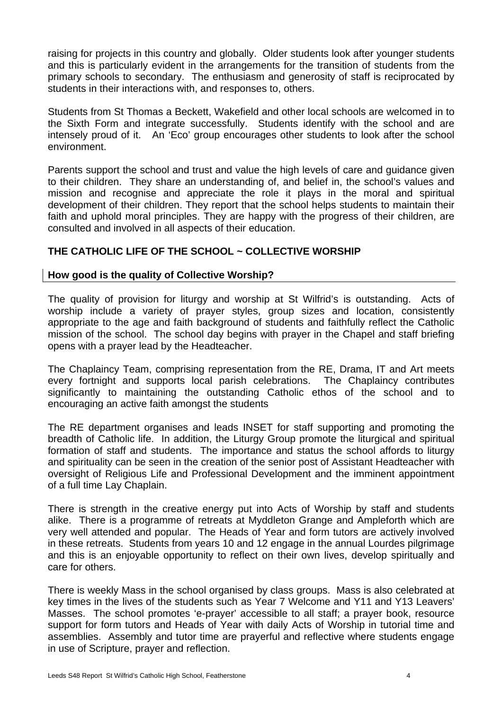raising for projects in this country and globally. Older students look after younger students and this is particularly evident in the arrangements for the transition of students from the primary schools to secondary. The enthusiasm and generosity of staff is reciprocated by students in their interactions with, and responses to, others.

Students from St Thomas a Beckett, Wakefield and other local schools are welcomed in to the Sixth Form and integrate successfully. Students identify with the school and are intensely proud of it. An 'Eco' group encourages other students to look after the school environment.

Parents support the school and trust and value the high levels of care and guidance given to their children. They share an understanding of, and belief in, the school's values and mission and recognise and appreciate the role it plays in the moral and spiritual development of their children. They report that the school helps students to maintain their faith and uphold moral principles. They are happy with the progress of their children, are consulted and involved in all aspects of their education.

#### **THE CATHOLIC LIFE OF THE SCHOOL ~ COLLECTIVE WORSHIP**

#### **How good is the quality of Collective Worship?**

The quality of provision for liturgy and worship at St Wilfrid's is outstanding. Acts of worship include a variety of prayer styles, group sizes and location, consistently appropriate to the age and faith background of students and faithfully reflect the Catholic mission of the school. The school day begins with prayer in the Chapel and staff briefing opens with a prayer lead by the Headteacher.

The Chaplaincy Team, comprising representation from the RE, Drama, IT and Art meets every fortnight and supports local parish celebrations. The Chaplaincy contributes significantly to maintaining the outstanding Catholic ethos of the school and to encouraging an active faith amongst the students

The RE department organises and leads INSET for staff supporting and promoting the breadth of Catholic life. In addition, the Liturgy Group promote the liturgical and spiritual formation of staff and students. The importance and status the school affords to liturgy and spirituality can be seen in the creation of the senior post of Assistant Headteacher with oversight of Religious Life and Professional Development and the imminent appointment of a full time Lay Chaplain.

There is strength in the creative energy put into Acts of Worship by staff and students alike. There is a programme of retreats at Myddleton Grange and Ampleforth which are very well attended and popular. The Heads of Year and form tutors are actively involved in these retreats. Students from years 10 and 12 engage in the annual Lourdes pilgrimage and this is an enjoyable opportunity to reflect on their own lives, develop spiritually and care for others.

There is weekly Mass in the school organised by class groups. Mass is also celebrated at key times in the lives of the students such as Year 7 Welcome and Y11 and Y13 Leavers' Masses. The school promotes 'e-prayer' accessible to all staff; a prayer book, resource support for form tutors and Heads of Year with daily Acts of Worship in tutorial time and assemblies. Assembly and tutor time are prayerful and reflective where students engage in use of Scripture, prayer and reflection.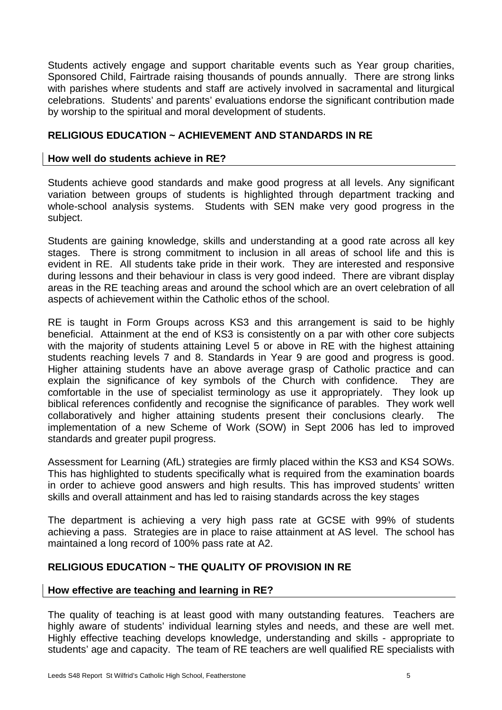Students actively engage and support charitable events such as Year group charities, Sponsored Child, Fairtrade raising thousands of pounds annually. There are strong links with parishes where students and staff are actively involved in sacramental and liturgical celebrations. Students' and parents' evaluations endorse the significant contribution made by worship to the spiritual and moral development of students.

#### **RELIGIOUS EDUCATION ~ ACHIEVEMENT AND STANDARDS IN RE**

#### **How well do students achieve in RE?**

Students achieve good standards and make good progress at all levels. Any significant variation between groups of students is highlighted through department tracking and whole-school analysis systems. Students with SEN make very good progress in the subject.

Students are gaining knowledge, skills and understanding at a good rate across all key stages. There is strong commitment to inclusion in all areas of school life and this is evident in RE. All students take pride in their work. They are interested and responsive during lessons and their behaviour in class is very good indeed. There are vibrant display areas in the RE teaching areas and around the school which are an overt celebration of all aspects of achievement within the Catholic ethos of the school.

RE is taught in Form Groups across KS3 and this arrangement is said to be highly beneficial. Attainment at the end of KS3 is consistently on a par with other core subjects with the majority of students attaining Level 5 or above in RE with the highest attaining students reaching levels 7 and 8. Standards in Year 9 are good and progress is good. Higher attaining students have an above average grasp of Catholic practice and can explain the significance of key symbols of the Church with confidence. They are comfortable in the use of specialist terminology as use it appropriately. They look up biblical references confidently and recognise the significance of parables. They work well collaboratively and higher attaining students present their conclusions clearly. The implementation of a new Scheme of Work (SOW) in Sept 2006 has led to improved standards and greater pupil progress.

Assessment for Learning (AfL) strategies are firmly placed within the KS3 and KS4 SOWs. This has highlighted to students specifically what is required from the examination boards in order to achieve good answers and high results. This has improved students' written skills and overall attainment and has led to raising standards across the key stages

The department is achieving a very high pass rate at GCSE with 99% of students achieving a pass. Strategies are in place to raise attainment at AS level. The school has maintained a long record of 100% pass rate at A2.

#### **RELIGIOUS EDUCATION ~ THE QUALITY OF PROVISION IN RE**

#### **How effective are teaching and learning in RE?**

The quality of teaching is at least good with many outstanding features. Teachers are highly aware of students' individual learning styles and needs, and these are well met. Highly effective teaching develops knowledge, understanding and skills - appropriate to students' age and capacity. The team of RE teachers are well qualified RE specialists with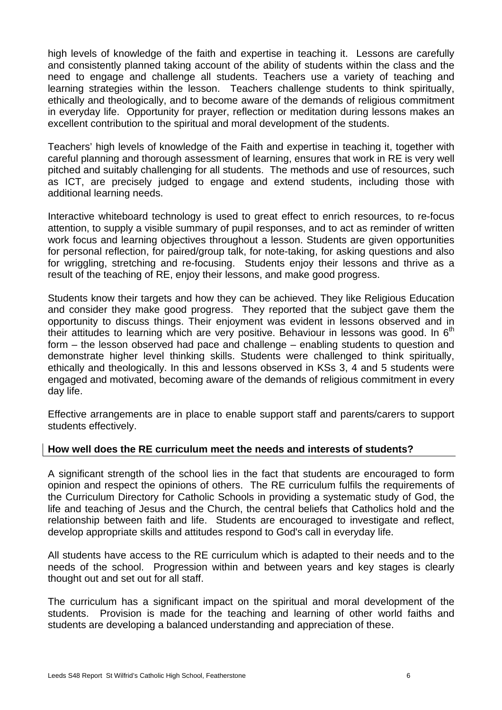high levels of knowledge of the faith and expertise in teaching it. Lessons are carefully and consistently planned taking account of the ability of students within the class and the need to engage and challenge all students. Teachers use a variety of teaching and learning strategies within the lesson. Teachers challenge students to think spiritually, ethically and theologically, and to become aware of the demands of religious commitment in everyday life. Opportunity for prayer, reflection or meditation during lessons makes an excellent contribution to the spiritual and moral development of the students.

Teachers' high levels of knowledge of the Faith and expertise in teaching it, together with careful planning and thorough assessment of learning, ensures that work in RE is very well pitched and suitably challenging for all students. The methods and use of resources, such as ICT, are precisely judged to engage and extend students, including those with additional learning needs.

Interactive whiteboard technology is used to great effect to enrich resources, to re-focus attention, to supply a visible summary of pupil responses, and to act as reminder of written work focus and learning objectives throughout a lesson. Students are given opportunities for personal reflection, for paired/group talk, for note-taking, for asking questions and also for wriggling, stretching and re-focusing. Students enjoy their lessons and thrive as a result of the teaching of RE, enjoy their lessons, and make good progress.

Students know their targets and how they can be achieved. They like Religious Education and consider they make good progress. They reported that the subject gave them the opportunity to discuss things. Their enjoyment was evident in lessons observed and in their attitudes to learning which are very positive. Behaviour in lessons was good. In  $6<sup>th</sup>$ form – the lesson observed had pace and challenge – enabling students to question and demonstrate higher level thinking skills. Students were challenged to think spiritually, ethically and theologically. In this and lessons observed in KSs 3, 4 and 5 students were engaged and motivated, becoming aware of the demands of religious commitment in every day life.

Effective arrangements are in place to enable support staff and parents/carers to support students effectively.

#### **How well does the RE curriculum meet the needs and interests of students?**

A significant strength of the school lies in the fact that students are encouraged to form opinion and respect the opinions of others. The RE curriculum fulfils the requirements of the Curriculum Directory for Catholic Schools in providing a systematic study of God, the life and teaching of Jesus and the Church, the central beliefs that Catholics hold and the relationship between faith and life. Students are encouraged to investigate and reflect, develop appropriate skills and attitudes respond to God's call in everyday life.

All students have access to the RE curriculum which is adapted to their needs and to the needs of the school. Progression within and between years and key stages is clearly thought out and set out for all staff.

The curriculum has a significant impact on the spiritual and moral development of the students. Provision is made for the teaching and learning of other world faiths and students are developing a balanced understanding and appreciation of these.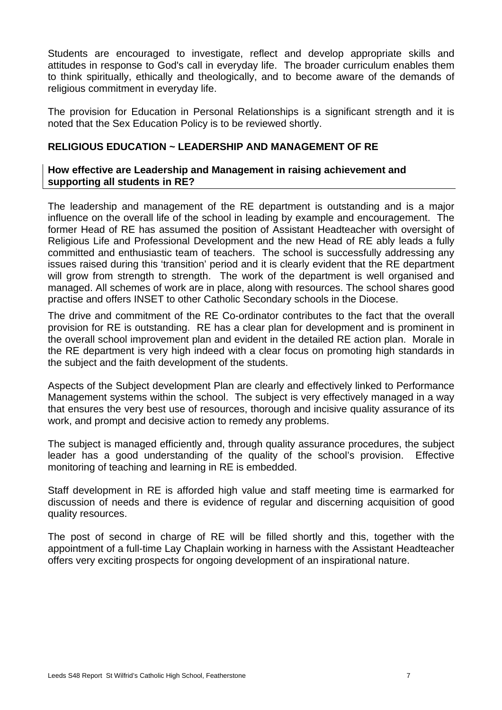Students are encouraged to investigate, reflect and develop appropriate skills and attitudes in response to God's call in everyday life. The broader curriculum enables them to think spiritually, ethically and theologically, and to become aware of the demands of religious commitment in everyday life.

The provision for Education in Personal Relationships is a significant strength and it is noted that the Sex Education Policy is to be reviewed shortly.

#### **RELIGIOUS EDUCATION ~ LEADERSHIP AND MANAGEMENT OF RE**

#### **How effective are Leadership and Management in raising achievement and supporting all students in RE?**

The leadership and management of the RE department is outstanding and is a major influence on the overall life of the school in leading by example and encouragement. The former Head of RE has assumed the position of Assistant Headteacher with oversight of Religious Life and Professional Development and the new Head of RE ably leads a fully committed and enthusiastic team of teachers. The school is successfully addressing any issues raised during this 'transition' period and it is clearly evident that the RE department will grow from strength to strength. The work of the department is well organised and managed. All schemes of work are in place, along with resources. The school shares good practise and offers INSET to other Catholic Secondary schools in the Diocese.

The drive and commitment of the RE Co-ordinator contributes to the fact that the overall provision for RE is outstanding. RE has a clear plan for development and is prominent in the overall school improvement plan and evident in the detailed RE action plan. Morale in the RE department is very high indeed with a clear focus on promoting high standards in the subject and the faith development of the students.

Aspects of the Subject development Plan are clearly and effectively linked to Performance Management systems within the school. The subject is very effectively managed in a way that ensures the very best use of resources, thorough and incisive quality assurance of its work, and prompt and decisive action to remedy any problems.

The subject is managed efficiently and, through quality assurance procedures, the subject leader has a good understanding of the quality of the school's provision. Effective monitoring of teaching and learning in RE is embedded.

Staff development in RE is afforded high value and staff meeting time is earmarked for discussion of needs and there is evidence of regular and discerning acquisition of good quality resources.

The post of second in charge of RE will be filled shortly and this, together with the appointment of a full-time Lay Chaplain working in harness with the Assistant Headteacher offers very exciting prospects for ongoing development of an inspirational nature.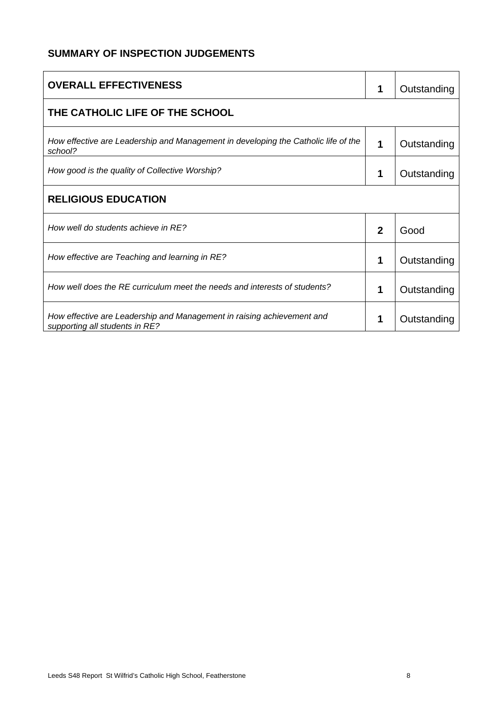#### **SUMMARY OF INSPECTION JUDGEMENTS**

| <b>OVERALL EFFECTIVENESS</b>                                                                             | 1            | Outstanding |
|----------------------------------------------------------------------------------------------------------|--------------|-------------|
| THE CATHOLIC LIFE OF THE SCHOOL                                                                          |              |             |
| How effective are Leadership and Management in developing the Catholic life of the<br>school?            | 1            | Outstanding |
| How good is the quality of Collective Worship?                                                           | 1            | Outstanding |
| <b>RELIGIOUS EDUCATION</b>                                                                               |              |             |
| How well do students achieve in RE?                                                                      | $\mathbf{2}$ | Good        |
| How effective are Teaching and learning in RE?                                                           | 1            | Outstanding |
| How well does the RE curriculum meet the needs and interests of students?                                | 1            | Outstanding |
| How effective are Leadership and Management in raising achievement and<br>supporting all students in RE? | 1            | Outstanding |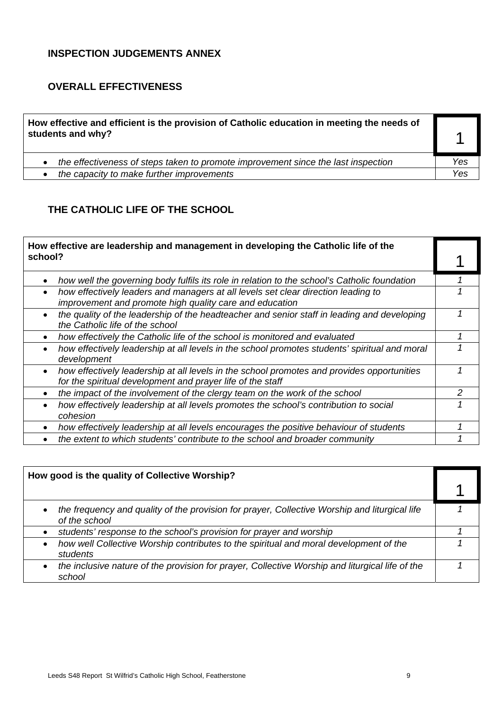#### **INSPECTION JUDGEMENTS ANNEX**

#### **OVERALL EFFECTIVENESS**

| How effective and efficient is the provision of Catholic education in meeting the needs of<br>students and why? |     |
|-----------------------------------------------------------------------------------------------------------------|-----|
| the effectiveness of steps taken to promote improvement since the last inspection<br>$\bullet$                  | Yes |
| the capacity to make further improvements<br>$\bullet$                                                          | Yes |

### **THE CATHOLIC LIFE OF THE SCHOOL**

|         | How effective are leadership and management in developing the Catholic life of the                                                                       |   |
|---------|----------------------------------------------------------------------------------------------------------------------------------------------------------|---|
| school? |                                                                                                                                                          |   |
|         | how well the governing body fulfils its role in relation to the school's Catholic foundation                                                             |   |
|         | how effectively leaders and managers at all levels set clear direction leading to<br>improvement and promote high quality care and education             |   |
|         | the quality of the leadership of the headteacher and senior staff in leading and developing<br>the Catholic life of the school                           |   |
|         | how effectively the Catholic life of the school is monitored and evaluated                                                                               |   |
|         | how effectively leadership at all levels in the school promotes students' spiritual and moral<br>development                                             |   |
|         | how effectively leadership at all levels in the school promotes and provides opportunities<br>for the spiritual development and prayer life of the staff |   |
|         | the impact of the involvement of the clergy team on the work of the school                                                                               | 2 |
|         | how effectively leadership at all levels promotes the school's contribution to social<br>cohesion                                                        |   |
|         | how effectively leadership at all levels encourages the positive behaviour of students                                                                   |   |
|         | the extent to which students' contribute to the school and broader community                                                                             |   |

| How good is the quality of Collective Worship?                                                                              |  |
|-----------------------------------------------------------------------------------------------------------------------------|--|
| the frequency and quality of the provision for prayer, Collective Worship and liturgical life<br>$\bullet$<br>of the school |  |
| students' response to the school's provision for prayer and worship                                                         |  |
| how well Collective Worship contributes to the spiritual and moral development of the<br>$\bullet$<br>students              |  |
| the inclusive nature of the provision for prayer, Collective Worship and liturgical life of the<br>$\bullet$<br>school      |  |